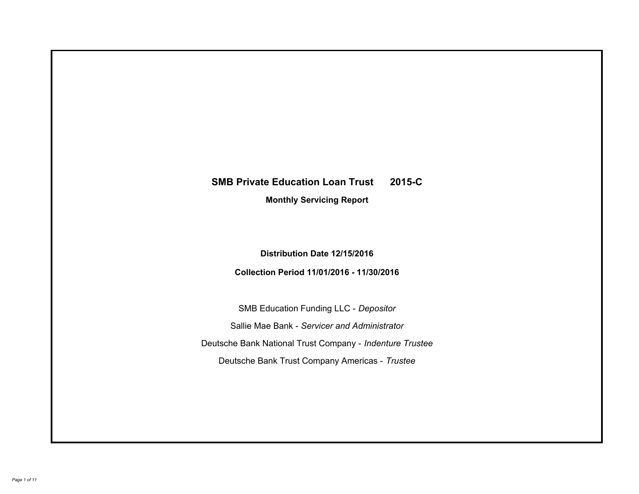# **SMB Private Education Loan Trust 2015-C Monthly Servicing Report**

## **Distribution Date 12/15/2016**

## **Collection Period 11/01/2016 - 11/30/2016**

SMB Education Funding LLC - *Depositor* Sallie Mae Bank - *Servicer and Administrator* Deutsche Bank National Trust Company - *Indenture Trustee* Deutsche Bank Trust Company Americas - *Trustee*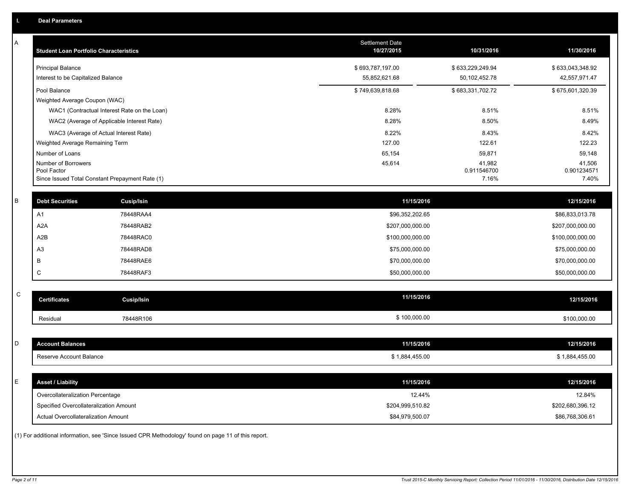| Α           | <b>Student Loan Portfolio Characteristics</b> |                                                                                                     | <b>Settlement Date</b><br>10/27/2015 | 10/31/2016           | 11/30/2016           |
|-------------|-----------------------------------------------|-----------------------------------------------------------------------------------------------------|--------------------------------------|----------------------|----------------------|
|             | <b>Principal Balance</b>                      |                                                                                                     | \$693,787,197.00                     | \$633,229,249.94     | \$633,043,348.92     |
|             | Interest to be Capitalized Balance            |                                                                                                     | 55,852,621.68                        | 50, 102, 452. 78     | 42,557,971.47        |
|             | Pool Balance                                  |                                                                                                     | \$749,639,818.68                     | \$683,331,702.72     | \$675,601,320.39     |
|             | Weighted Average Coupon (WAC)                 |                                                                                                     |                                      |                      |                      |
|             |                                               | WAC1 (Contractual Interest Rate on the Loan)                                                        | 8.28%                                | 8.51%                | 8.51%                |
|             |                                               | WAC2 (Average of Applicable Interest Rate)                                                          | 8.28%                                | 8.50%                | 8.49%                |
|             |                                               | WAC3 (Average of Actual Interest Rate)                                                              | 8.22%                                | 8.43%                | 8.42%                |
|             | Weighted Average Remaining Term               |                                                                                                     | 127.00                               | 122.61               | 122.23               |
|             | Number of Loans                               |                                                                                                     | 65,154                               | 59,871               | 59,148               |
|             | Number of Borrowers                           |                                                                                                     | 45,614                               | 41,982               | 41,506               |
|             | Pool Factor                                   | Since Issued Total Constant Prepayment Rate (1)                                                     |                                      | 0.911546700<br>7.16% | 0.901234571<br>7.40% |
|             |                                               |                                                                                                     |                                      |                      |                      |
| B           | <b>Debt Securities</b>                        | Cusip/Isin                                                                                          | 11/15/2016                           |                      | 12/15/2016           |
|             | A1                                            | 78448RAA4                                                                                           | \$96,352,202.65                      |                      | \$86,833,013.78      |
|             | A <sub>2</sub> A                              | 78448RAB2                                                                                           | \$207,000,000.00                     |                      | \$207,000,000.00     |
|             | A2B                                           | 78448RAC0                                                                                           | \$100,000,000.00                     |                      | \$100,000,000.00     |
|             | A <sub>3</sub>                                | 78448RAD8                                                                                           | \$75,000,000.00                      |                      | \$75,000,000.00      |
|             | B                                             | 78448RAE6                                                                                           | \$70,000,000.00                      |                      | \$70,000,000.00      |
|             | C                                             | 78448RAF3                                                                                           | \$50,000,000.00                      |                      | \$50,000,000.00      |
|             |                                               |                                                                                                     |                                      |                      |                      |
| $\mathsf C$ | <b>Certificates</b>                           | <b>Cusip/Isin</b>                                                                                   | 11/15/2016                           |                      | 12/15/2016           |
|             | Residual                                      | 78448R106                                                                                           | \$100,000.00                         |                      | \$100,000.00         |
|             |                                               |                                                                                                     |                                      |                      |                      |
| D           | <b>Account Balances</b>                       |                                                                                                     | 11/15/2016                           |                      | 12/15/2016           |
|             | Reserve Account Balance                       |                                                                                                     | \$1,884,455.00                       |                      | \$1,884,455.00       |
|             |                                               |                                                                                                     |                                      |                      |                      |
| E           | <b>Asset / Liability</b>                      |                                                                                                     | 11/15/2016                           |                      | 12/15/2016           |
|             | Overcollateralization Percentage              |                                                                                                     | 12.44%                               |                      | 12.84%               |
|             | Specified Overcollateralization Amount        |                                                                                                     | \$204,999,510.82                     |                      | \$202,680,396.12     |
|             | <b>Actual Overcollateralization Amount</b>    |                                                                                                     | \$84,979,500.07                      |                      | \$86,768,306.61      |
|             |                                               | (1) For additional information, see 'Since Issued CPR Methodology' found on page 11 of this report. |                                      |                      |                      |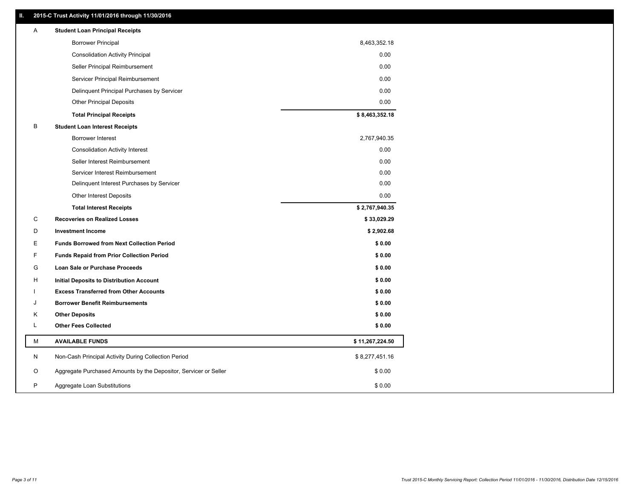### **II. 2015-C Trust Activity 11/01/2016 through 11/30/2016**

| <b>Borrower Principal</b><br>8,463,352.18                                       |  |
|---------------------------------------------------------------------------------|--|
| 0.00<br><b>Consolidation Activity Principal</b>                                 |  |
| 0.00<br>Seller Principal Reimbursement                                          |  |
| 0.00<br>Servicer Principal Reimbursement                                        |  |
| Delinquent Principal Purchases by Servicer<br>0.00                              |  |
| <b>Other Principal Deposits</b><br>0.00                                         |  |
| \$8,463,352.18<br><b>Total Principal Receipts</b>                               |  |
| В<br><b>Student Loan Interest Receipts</b>                                      |  |
| <b>Borrower Interest</b><br>2,767,940.35                                        |  |
| 0.00<br><b>Consolidation Activity Interest</b>                                  |  |
| Seller Interest Reimbursement<br>0.00                                           |  |
| Servicer Interest Reimbursement<br>0.00                                         |  |
| Delinquent Interest Purchases by Servicer<br>0.00                               |  |
| 0.00<br><b>Other Interest Deposits</b>                                          |  |
| \$2,767,940.35<br><b>Total Interest Receipts</b>                                |  |
| C<br><b>Recoveries on Realized Losses</b><br>\$33,029.29                        |  |
| \$2,902.68<br>D<br><b>Investment Income</b>                                     |  |
| Е<br><b>Funds Borrowed from Next Collection Period</b><br>\$0.00                |  |
| F<br><b>Funds Repaid from Prior Collection Period</b><br>\$0.00                 |  |
| G<br>\$0.00<br>Loan Sale or Purchase Proceeds                                   |  |
| \$0.00<br>н<br>Initial Deposits to Distribution Account                         |  |
| \$0.00<br><b>Excess Transferred from Other Accounts</b>                         |  |
| <b>Borrower Benefit Reimbursements</b><br>\$0.00<br>J                           |  |
| <b>Other Deposits</b><br>\$0.00<br>Κ                                            |  |
| Г<br><b>Other Fees Collected</b><br>\$0.00                                      |  |
| М<br><b>AVAILABLE FUNDS</b><br>\$11,267,224.50                                  |  |
| N<br>Non-Cash Principal Activity During Collection Period<br>\$8,277,451.16     |  |
| O<br>Aggregate Purchased Amounts by the Depositor, Servicer or Seller<br>\$0.00 |  |
| P<br>\$0.00<br>Aggregate Loan Substitutions                                     |  |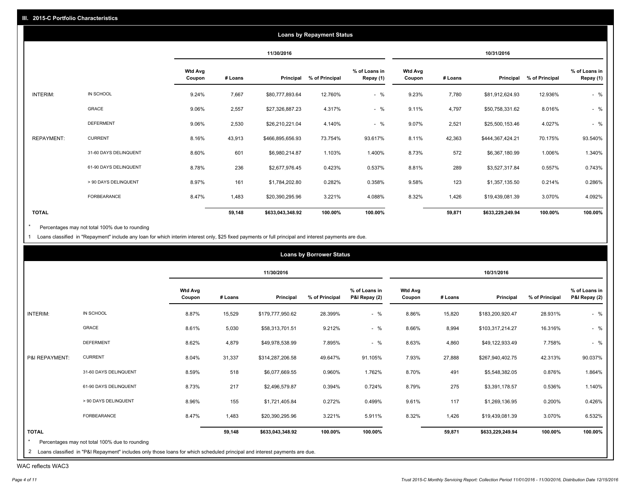|              |                       |                          |         |                  | <b>Loans by Repayment Status</b> |                            |                          |         |                  |                |                            |
|--------------|-----------------------|--------------------------|---------|------------------|----------------------------------|----------------------------|--------------------------|---------|------------------|----------------|----------------------------|
|              |                       |                          |         | 11/30/2016       |                                  |                            |                          |         | 10/31/2016       |                |                            |
|              |                       | <b>Wtd Avg</b><br>Coupon | # Loans | Principal        | % of Principal                   | % of Loans in<br>Repay (1) | <b>Wtd Avg</b><br>Coupon | # Loans | Principal        | % of Principal | % of Loans in<br>Repay (1) |
| INTERIM:     | IN SCHOOL             | 9.24%                    | 7,667   | \$80,777,893.64  | 12.760%                          | $-$ %                      | 9.23%                    | 7,780   | \$81,912,624.93  | 12.936%        | $-$ %                      |
|              | GRACE                 | 9.06%                    | 2,557   | \$27,326,887.23  | 4.317%                           | $-$ %                      | 9.11%                    | 4,797   | \$50,758,331.62  | 8.016%         | $-$ %                      |
|              | <b>DEFERMENT</b>      | 9.06%                    | 2,530   | \$26,210,221.04  | 4.140%                           | $-$ %                      | 9.07%                    | 2,521   | \$25,500,153.46  | 4.027%         | $-$ %                      |
| REPAYMENT:   | <b>CURRENT</b>        | 8.16%                    | 43,913  | \$466,895,656.93 | 73.754%                          | 93.617%                    | 8.11%                    | 42,363  | \$444,367,424.21 | 70.175%        | 93.540%                    |
|              | 31-60 DAYS DELINQUENT | 8.60%                    | 601     | \$6,980,214.87   | 1.103%                           | 1.400%                     | 8.73%                    | 572     | \$6,367,180.99   | 1.006%         | 1.340%                     |
|              | 61-90 DAYS DELINQUENT | 8.78%                    | 236     | \$2,677,976.45   | 0.423%                           | 0.537%                     | 8.81%                    | 289     | \$3,527,317.84   | 0.557%         | 0.743%                     |
|              | > 90 DAYS DELINQUENT  | 8.97%                    | 161     | \$1,784,202.80   | 0.282%                           | 0.358%                     | 9.58%                    | 123     | \$1,357,135.50   | 0.214%         | 0.286%                     |
|              | <b>FORBEARANCE</b>    | 8.47%                    | 1,483   | \$20,390,295.96  | 3.221%                           | 4.088%                     | 8.32%                    | 1,426   | \$19,439,081.39  | 3.070%         | 4.092%                     |
| <b>TOTAL</b> |                       |                          | 59,148  | \$633,043,348.92 | 100.00%                          | 100.00%                    |                          | 59,871  | \$633,229,249.94 | 100.00%        | 100.00%                    |

Percentages may not total 100% due to rounding  $^\star$ 

1 Loans classified in "Repayment" include any loan for which interim interest only, \$25 fixed payments or full principal and interest payments are due.

|                |                       |                          |         | 11/30/2016       |                |                                |                          |         | 10/31/2016       |                |                                |
|----------------|-----------------------|--------------------------|---------|------------------|----------------|--------------------------------|--------------------------|---------|------------------|----------------|--------------------------------|
|                |                       | <b>Wtd Avg</b><br>Coupon | # Loans | Principal        | % of Principal | % of Loans in<br>P&I Repay (2) | <b>Wtd Avg</b><br>Coupon | # Loans | Principal        | % of Principal | % of Loans in<br>P&I Repay (2) |
| INTERIM:       | IN SCHOOL             | 8.87%                    | 15,529  | \$179,777,950.62 | 28.399%        | $-$ %                          | 8.86%                    | 15,820  | \$183,200,920.47 | 28.931%        | $-$ %                          |
|                | GRACE                 | 8.61%                    | 5,030   | \$58,313,701.51  | 9.212%         | $-$ %                          | 8.66%                    | 8,994   | \$103,317,214.27 | 16.316%        | $-$ %                          |
|                | <b>DEFERMENT</b>      | 8.62%                    | 4,879   | \$49,978,538.99  | 7.895%         | $-$ %                          | 8.63%                    | 4,860   | \$49,122,933.49  | 7.758%         | $-$ %                          |
| P&I REPAYMENT: | <b>CURRENT</b>        | 8.04%                    | 31,337  | \$314,287,206.58 | 49.647%        | 91.105%                        | 7.93%                    | 27,888  | \$267,940,402.75 | 42.313%        | 90.037%                        |
|                | 31-60 DAYS DELINQUENT | 8.59%                    | 518     | \$6,077,669.55   | 0.960%         | 1.762%                         | 8.70%                    | 491     | \$5,548,382.05   | 0.876%         | 1.864%                         |
|                | 61-90 DAYS DELINQUENT | 8.73%                    | 217     | \$2,496,579.87   | 0.394%         | 0.724%                         | 8.79%                    | 275     | \$3,391,178.57   | 0.536%         | 1.140%                         |
|                | > 90 DAYS DELINQUENT  | 8.96%                    | 155     | \$1,721,405.84   | 0.272%         | 0.499%                         | 9.61%                    | 117     | \$1,269,136.95   | 0.200%         | 0.426%                         |
|                | FORBEARANCE           | 8.47%                    | 1,483   | \$20,390,295.96  | 3.221%         | 5.911%                         | 8.32%                    | 1,426   | \$19,439,081.39  | 3.070%         | 6.532%                         |
| <b>TOTAL</b>   |                       |                          | 59,148  | \$633,043,348.92 | 100.00%        | 100.00%                        |                          | 59,871  | \$633,229,249.94 | 100.00%        | 100.00%                        |

WAC reflects WAC3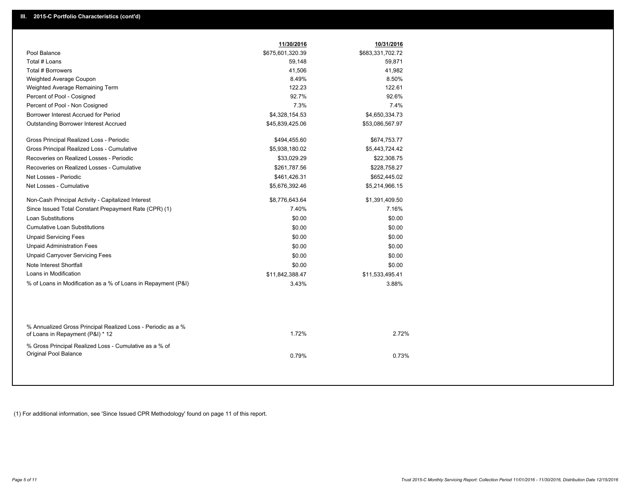|                                                                                                  | 11/30/2016       | 10/31/2016       |
|--------------------------------------------------------------------------------------------------|------------------|------------------|
| Pool Balance                                                                                     | \$675,601,320.39 | \$683,331,702.72 |
| Total # Loans                                                                                    | 59,148           | 59,871           |
| Total # Borrowers                                                                                | 41,506           | 41,982           |
| Weighted Average Coupon                                                                          | 8.49%            | 8.50%            |
| Weighted Average Remaining Term                                                                  | 122.23           | 122.61           |
| Percent of Pool - Cosigned                                                                       | 92.7%            | 92.6%            |
| Percent of Pool - Non Cosigned                                                                   | 7.3%             | 7.4%             |
| Borrower Interest Accrued for Period                                                             | \$4,328,154.53   | \$4,650,334.73   |
| Outstanding Borrower Interest Accrued                                                            | \$45,839,425.06  | \$53,086,567.97  |
| Gross Principal Realized Loss - Periodic                                                         | \$494,455.60     | \$674,753.77     |
| Gross Principal Realized Loss - Cumulative                                                       | \$5,938,180.02   | \$5,443,724.42   |
| Recoveries on Realized Losses - Periodic                                                         | \$33,029.29      | \$22,308.75      |
| Recoveries on Realized Losses - Cumulative                                                       | \$261,787.56     | \$228,758.27     |
| Net Losses - Periodic                                                                            | \$461,426.31     | \$652,445.02     |
| Net Losses - Cumulative                                                                          | \$5,676,392.46   | \$5,214,966.15   |
| Non-Cash Principal Activity - Capitalized Interest                                               | \$8,776,643.64   | \$1,391,409.50   |
| Since Issued Total Constant Prepayment Rate (CPR) (1)                                            | 7.40%            | 7.16%            |
| <b>Loan Substitutions</b>                                                                        | \$0.00           | \$0.00           |
| <b>Cumulative Loan Substitutions</b>                                                             | \$0.00           | \$0.00           |
| <b>Unpaid Servicing Fees</b>                                                                     | \$0.00           | \$0.00           |
| <b>Unpaid Administration Fees</b>                                                                | \$0.00           | \$0.00           |
| <b>Unpaid Carryover Servicing Fees</b>                                                           | \$0.00           | \$0.00           |
| Note Interest Shortfall                                                                          | \$0.00           | \$0.00           |
| Loans in Modification                                                                            | \$11,842,388.47  | \$11,533,495.41  |
| % of Loans in Modification as a % of Loans in Repayment (P&I)                                    | 3.43%            | 3.88%            |
|                                                                                                  |                  |                  |
| % Annualized Gross Principal Realized Loss - Periodic as a %<br>of Loans in Repayment (P&I) * 12 | 1.72%            | 2.72%            |
| % Gross Principal Realized Loss - Cumulative as a % of<br>Original Pool Balance                  | 0.79%            | 0.73%            |

(1) For additional information, see 'Since Issued CPR Methodology' found on page 11 of this report.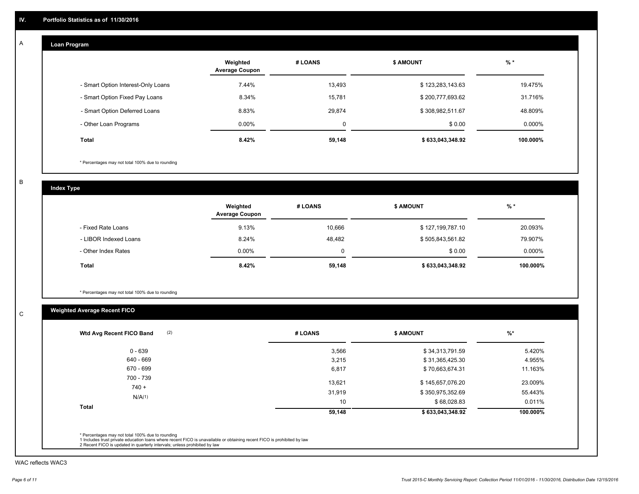#### **Loan Program**  A

|                                    | Weighted<br><b>Average Coupon</b> | # LOANS | <b>\$ AMOUNT</b> | $%$ *     |
|------------------------------------|-----------------------------------|---------|------------------|-----------|
| - Smart Option Interest-Only Loans | 7.44%                             | 13,493  | \$123,283,143.63 | 19.475%   |
| - Smart Option Fixed Pay Loans     | 8.34%                             | 15,781  | \$200,777,693.62 | 31.716%   |
| - Smart Option Deferred Loans      | 8.83%                             | 29,874  | \$308,982,511.67 | 48.809%   |
| - Other Loan Programs              | $0.00\%$                          | 0       | \$0.00           | $0.000\%$ |
| <b>Total</b>                       | 8.42%                             | 59,148  | \$633,043,348.92 | 100.000%  |

\* Percentages may not total 100% due to rounding

B

C

**Index Type**

|                       | Weighted<br><b>Average Coupon</b> | # LOANS | \$ AMOUNT        | $%$ *     |
|-----------------------|-----------------------------------|---------|------------------|-----------|
| - Fixed Rate Loans    | 9.13%                             | 10,666  | \$127,199,787.10 | 20.093%   |
| - LIBOR Indexed Loans | 8.24%                             | 48,482  | \$505,843,561.82 | 79.907%   |
| - Other Index Rates   | $0.00\%$                          | 0       | \$0.00           | $0.000\%$ |
| Total                 | 8.42%                             | 59,148  | \$633,043,348.92 | 100.000%  |

\* Percentages may not total 100% due to rounding

## **Weighted Average Recent FICO**

| $0 - 639$    | 3,566  | \$34,313,791.59  | 5.420%   |
|--------------|--------|------------------|----------|
| 640 - 669    | 3,215  | \$31,365,425.30  | 4.955%   |
| 670 - 699    | 6,817  | \$70,663,674.31  | 11.163%  |
| 700 - 739    | 13,621 | \$145,657,076.20 | 23.009%  |
| $740 +$      | 31,919 | \$350,975,352.69 | 55.443%  |
| N/A(1)       | 10     | \$68,028.83      | 0.011%   |
| <b>Total</b> | 59,148 | \$633,043,348.92 | 100.000% |

WAC reflects WAC3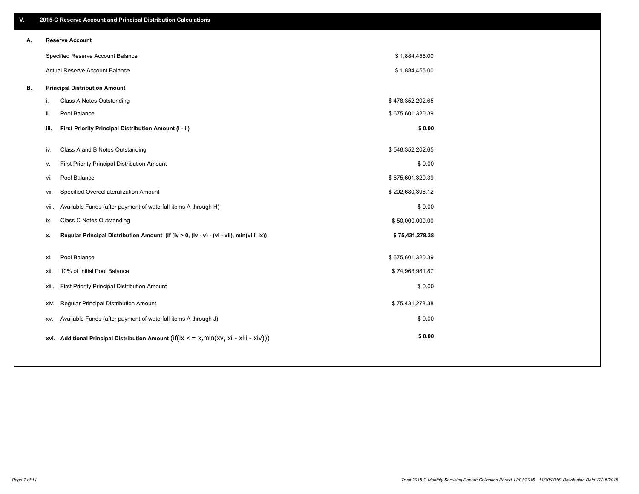| \$1,884,455.00<br>\$1,884,455.00<br>\$478,352,202.65<br>\$675,601,320.39 |
|--------------------------------------------------------------------------|
|                                                                          |
|                                                                          |
|                                                                          |
|                                                                          |
|                                                                          |
|                                                                          |
| \$0.00                                                                   |
|                                                                          |
|                                                                          |
| \$0.00                                                                   |
| \$675,601,320.39                                                         |
| \$202,680,396.12                                                         |
| \$0.00                                                                   |
| \$50,000,000.00                                                          |
| \$75,431,278.38                                                          |
|                                                                          |
|                                                                          |
|                                                                          |
| \$0.00                                                                   |
| \$75,431,278.38                                                          |
| \$0.00                                                                   |
| \$0.00                                                                   |
| \$548,352,202.65<br>\$675,601,320.39<br>\$74,963,981.87                  |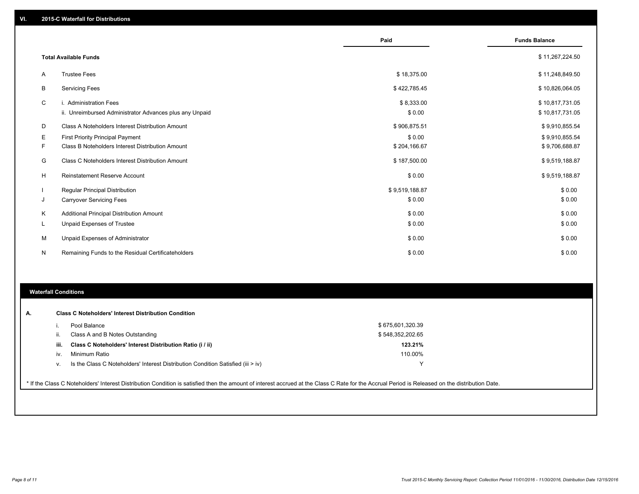|    |                                                         | Paid           | <b>Funds Balance</b> |
|----|---------------------------------------------------------|----------------|----------------------|
|    |                                                         |                |                      |
|    | <b>Total Available Funds</b>                            |                | \$11,267,224.50      |
| A  | <b>Trustee Fees</b>                                     | \$18,375.00    | \$11,248,849.50      |
| B  | <b>Servicing Fees</b>                                   | \$422,785.45   | \$10,826,064.05      |
| C  | i. Administration Fees                                  | \$8,333.00     | \$10,817,731.05      |
|    | ii. Unreimbursed Administrator Advances plus any Unpaid | \$0.00         | \$10,817,731.05      |
| D  | Class A Noteholders Interest Distribution Amount        | \$906,875.51   | \$9,910,855.54       |
| Е  | <b>First Priority Principal Payment</b>                 | \$0.00         | \$9,910,855.54       |
| F. | Class B Noteholders Interest Distribution Amount        | \$204,166.67   | \$9,706,688.87       |
| G  | Class C Noteholders Interest Distribution Amount        | \$187,500.00   | \$9,519,188.87       |
| H  | <b>Reinstatement Reserve Account</b>                    | \$0.00         | \$9,519,188.87       |
|    | Regular Principal Distribution                          | \$9,519,188.87 | \$0.00               |
| J  | <b>Carryover Servicing Fees</b>                         | \$0.00         | \$0.00               |
| Κ  | Additional Principal Distribution Amount                | \$0.00         | \$0.00               |
| L. | Unpaid Expenses of Trustee                              | \$0.00         | \$0.00               |
| M  | Unpaid Expenses of Administrator                        | \$0.00         | \$0.00               |
| N  | Remaining Funds to the Residual Certificateholders      | \$0.00         | \$0.00               |

#### **Waterfall Conditions**

| А. |      | <b>Class C Noteholders' Interest Distribution Condition</b>                      |                  |  |
|----|------|----------------------------------------------------------------------------------|------------------|--|
|    |      | Pool Balance                                                                     | \$675,601,320.39 |  |
|    | Ш.   | Class A and B Notes Outstanding                                                  | \$548,352,202.65 |  |
|    | iii. | Class C Noteholders' Interest Distribution Ratio (i / ii)                        | 123.21%          |  |
|    | IV.  | Minimum Ratio                                                                    | 110.00%          |  |
|    | ٧.   | Is the Class C Noteholders' Interest Distribution Condition Satisfied (iii > iv) | ν                |  |
|    |      |                                                                                  |                  |  |

\* If the Class C Noteholders' Interest Distribution Condition is satisfied then the amount of interest accrued at the Class C Rate for the Accrual Period is Released on the distribution Date.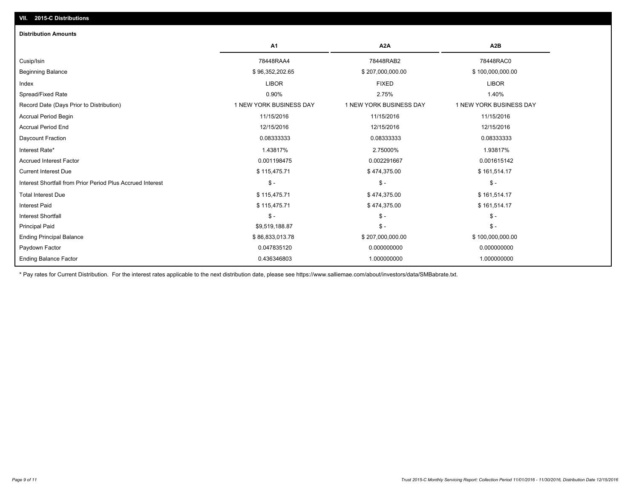| <b>Distribution Amounts</b>                                |                         |                         |                         |
|------------------------------------------------------------|-------------------------|-------------------------|-------------------------|
|                                                            | A <sub>1</sub>          | A <sub>2</sub> A        | A <sub>2</sub> B        |
| Cusip/Isin                                                 | 78448RAA4               | 78448RAB2               | 78448RAC0               |
| <b>Beginning Balance</b>                                   | \$96,352,202.65         | \$207,000,000.00        | \$100,000,000.00        |
| Index                                                      | <b>LIBOR</b>            | <b>FIXED</b>            | <b>LIBOR</b>            |
| Spread/Fixed Rate                                          | 0.90%                   | 2.75%                   | 1.40%                   |
| Record Date (Days Prior to Distribution)                   | 1 NEW YORK BUSINESS DAY | 1 NEW YORK BUSINESS DAY | 1 NEW YORK BUSINESS DAY |
| <b>Accrual Period Begin</b>                                | 11/15/2016              | 11/15/2016              | 11/15/2016              |
| <b>Accrual Period End</b>                                  | 12/15/2016              | 12/15/2016              | 12/15/2016              |
| Daycount Fraction                                          | 0.08333333              | 0.08333333              | 0.08333333              |
| Interest Rate*                                             | 1.43817%                | 2.75000%                | 1.93817%                |
| <b>Accrued Interest Factor</b>                             | 0.001198475             | 0.002291667             | 0.001615142             |
| <b>Current Interest Due</b>                                | \$115,475.71            | \$474,375.00            | \$161,514.17            |
| Interest Shortfall from Prior Period Plus Accrued Interest | $\mathsf{\$}$ -         | $\mathsf{\$}$ -         | $\mathsf{\$}$ -         |
| <b>Total Interest Due</b>                                  | \$115,475.71            | \$474,375.00            | \$161,514.17            |
| <b>Interest Paid</b>                                       | \$115,475.71            | \$474,375.00            | \$161,514.17            |
| <b>Interest Shortfall</b>                                  | $\mathsf S$ -           | $$ -$                   | $$ -$                   |
| <b>Principal Paid</b>                                      | \$9,519,188.87          | $\frac{2}{3}$ -         | $\mathsf{\$}$ -         |
| <b>Ending Principal Balance</b>                            | \$86,833,013.78         | \$207,000,000.00        | \$100,000,000.00        |
| Paydown Factor                                             | 0.047835120             | 0.000000000             | 0.000000000             |
| <b>Ending Balance Factor</b>                               | 0.436346803             | 1.000000000             | 1.000000000             |

\* Pay rates for Current Distribution. For the interest rates applicable to the next distribution date, please see https://www.salliemae.com/about/investors/data/SMBabrate.txt.

**VII. 2015-C Distributions**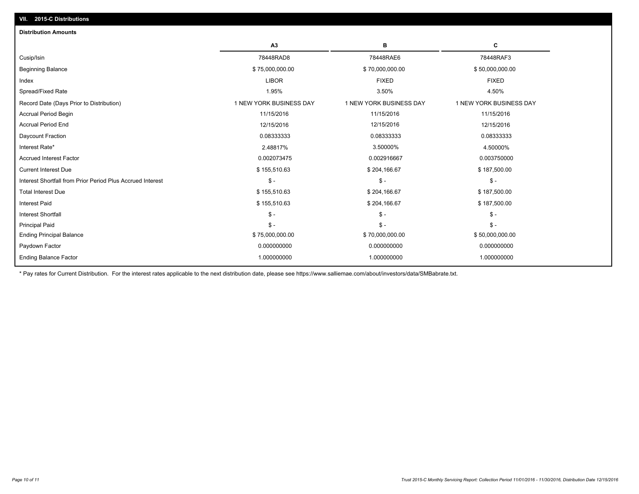| A3                      | в                       | с                       |
|-------------------------|-------------------------|-------------------------|
| 78448RAD8               | 78448RAE6               | 78448RAF3               |
| \$75,000,000.00         | \$70,000,000.00         | \$50,000,000.00         |
| <b>LIBOR</b>            | <b>FIXED</b>            | <b>FIXED</b>            |
| 1.95%                   | 3.50%                   | 4.50%                   |
| 1 NEW YORK BUSINESS DAY | 1 NEW YORK BUSINESS DAY | 1 NEW YORK BUSINESS DAY |
| 11/15/2016              | 11/15/2016              | 11/15/2016              |
| 12/15/2016              | 12/15/2016              | 12/15/2016              |
| 0.08333333              | 0.08333333              | 0.08333333              |
| 2.48817%                | 3.50000%                | 4.50000%                |
| 0.002073475             | 0.002916667             | 0.003750000             |
| \$155,510.63            | \$204,166.67            | \$187,500.00            |
| $\mathsf{\$}$ -         | $\mathsf{\$}$ -         | $$ -$                   |
| \$155,510.63            | \$204,166.67            | \$187,500.00            |
| \$155,510.63            | \$204,166.67            | \$187,500.00            |
| $\mathsf{\$}$ -         | $\mathsf{\$}$ -         | $S -$                   |
| $\mathsf{\$}$ -         | $\mathsf{\$}$ -         | $S -$                   |
| \$75,000,000.00         | \$70,000,000.00         | \$50,000,000.00         |
| 0.000000000             | 0.000000000             | 0.000000000             |
| 1.000000000             | 1.000000000             | 1.000000000             |
|                         |                         |                         |

\* Pay rates for Current Distribution. For the interest rates applicable to the next distribution date, please see https://www.salliemae.com/about/investors/data/SMBabrate.txt.

**VII. 2015-C Distributions**